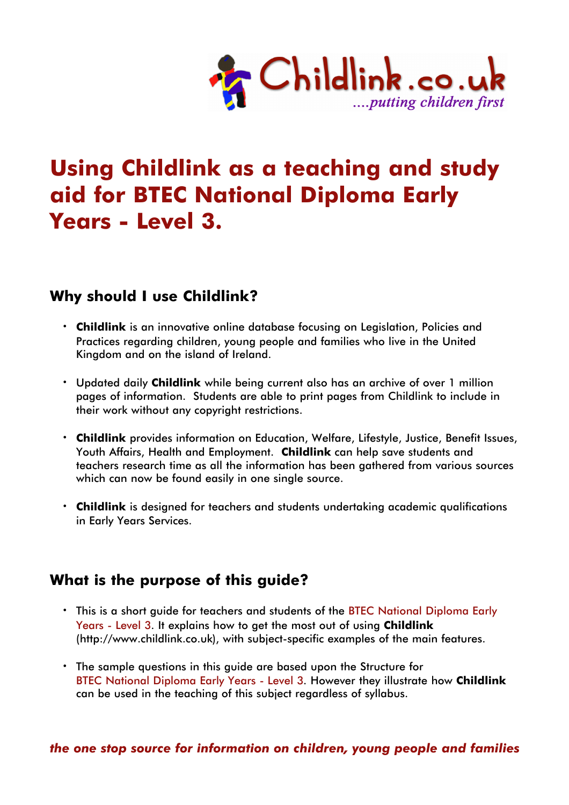

# **Using Childlink as a teaching and study aid for BTEC National Diploma Early Years - Level 3.**

# **Why should I use Childlink?**

- **· Childlink** is an innovative online database focusing on Legislation, Policies and Practices regarding children, young people and families who live in the United Kingdom and on the island of Ireland.
- **·** Updated daily **Childlink** while being current also has an archive of over 1 million pages of information. Students are able to print pages from Childlink to include in their work without any copyright restrictions.
- **· Childlink** provides information on Education, Welfare, Lifestyle, Justice, Benefit Issues, Youth Affairs, Health and Employment. **Childlink** can help save students and teachers research time as all the information has been gathered from various sources which can now be found easily in one single source.
- **· Childlink** is designed for teachers and students undertaking academic qualifications in Early Years Services.

# **What is the purpose of this guide?**

- **·** This is a short guide for teachers and students of the BTEC National Diploma Early Years - Level 3. It explains how to get the most out of using **Childlink** (http://www.childlink.co.uk), with subject-specific examples of the main features.
- **·** The sample questions in this guide are based upon the Structure for BTEC National Diploma Early Years - Level 3. However they illustrate how **Childlink** can be used in the teaching of this subject regardless of syllabus.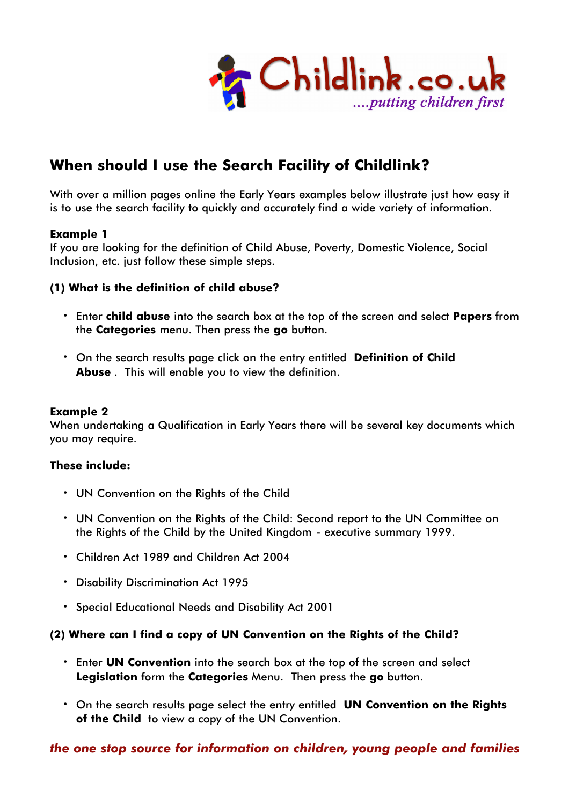

# **When should I use the Search Facility of Childlink?**

With over a million pages online the Early Years examples below illustrate just how easy it is to use the search facility to quickly and accurately find a wide variety of information.

#### **Example 1**

If you are looking for the definition of Child Abuse, Poverty, Domestic Violence, Social Inclusion, etc. just follow these simple steps.

#### **(1) What is the definition of child abuse?**

- **·** Enter **child abuse** into the search box at the top of the screen and select **Papers** from the **Categories** menu. Then press the **go** button.
- **·** On the search results page click on the entry entitled **Definition of Child Abuse** . This will enable you to view the definition.

#### **Example 2**

When undertaking a Qualification in Early Years there will be several key documents which you may require.

#### **These include:**

- **·** UN Convention on the Rights of the Child
- **·** UN Convention on the Rights of the Child: Second report to the UN Committee on the Rights of the Child by the United Kingdom - executive summary 1999.
- **·** Children Act 1989 and Children Act 2004
- **·** Disability Discrimination Act 1995
- **·** Special Educational Needs and Disability Act 2001

#### **(2) Where can I find a copy of UN Convention on the Rights of the Child?**

- **·** Enter **UN Convention** into the search box at the top of the screen and select **Legislation** form the **Categories** Menu. Then press the **go** button.
- **·** On the search results page select the entry entitled **UN Convention on the Rights of the Child** to view a copy of the UN Convention.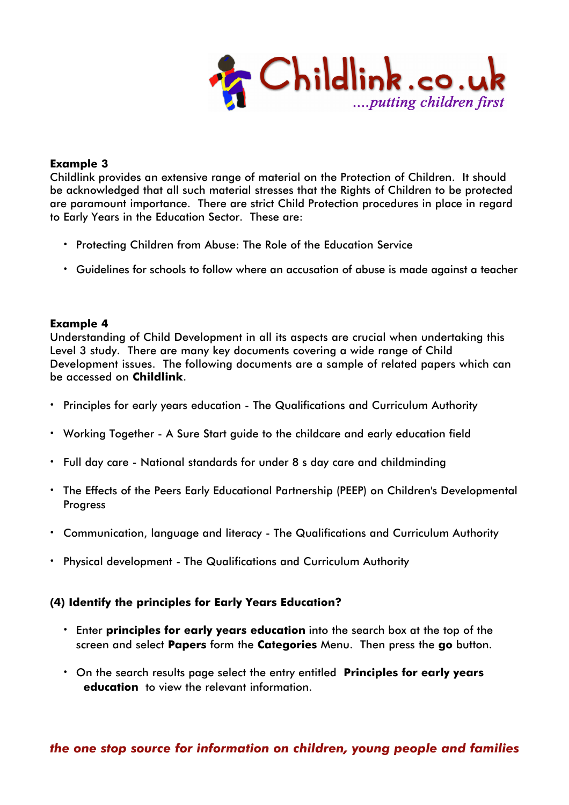

#### **Example 3**

Childlink provides an extensive range of material on the Protection of Children. It should be acknowledged that all such material stresses that the Rights of Children to be protected are paramount importance. There are strict Child Protection procedures in place in regard to Early Years in the Education Sector. These are:

- **·** Protecting Children from Abuse: The Role of the Education Service
- **·** Guidelines for schools to follow where an accusation of abuse is made against a teacher

#### **Example 4**

Understanding of Child Development in all its aspects are crucial when undertaking this Level 3 study. There are many key documents covering a wide range of Child Development issues. The following documents are a sample of related papers which can be accessed on **Childlink**.

- **·** Principles for early years education The Qualifications and Curriculum Authority
- **·** Working Together A Sure Start guide to the childcare and early education field
- **·** Full day care National standards for under 8's day care and childminding
- **·** The Effects of the Peers Early Educational Partnership (PEEP) on Children's Developmental **Progress**
- **·** Communication, language and literacy The Qualifications and Curriculum Authority
- **·** Physical development The Qualifications and Curriculum Authority

#### **(4) Identify the principles for Early Years Education?**

- **·** Enter **principles for early years education** into the search box at the top of the screen and select **Papers** form the **Categories** Menu. Then press the **go** button.
- **·** On the search results page select the entry entitled **Principles for early years education'** to view the relevant information.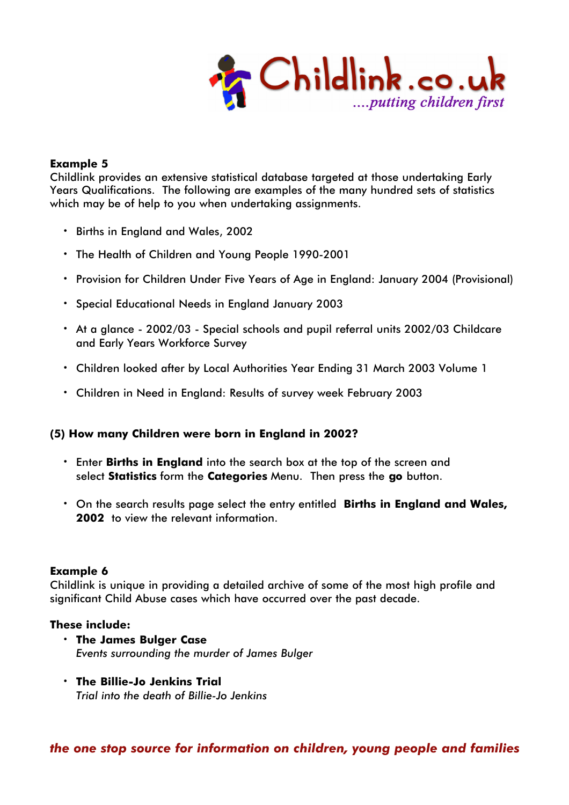

#### **Example 5**

Childlink provides an extensive statistical database targeted at those undertaking Early Years Qualifications. The following are examples of the many hundred sets of statistics which may be of help to you when undertaking assignments.

- **·** Births in England and Wales, 2002
- **·** The Health of Children and Young People 1990-2001
- **·** Provision for Children Under Five Years of Age in England: January 2004 (Provisional)
- **·** Special Educational Needs in England January 2003
- **·** At a glance 2002/03 Special schools and pupil referral units 2002/03 Childcare and Early Years Workforce Survey
- **·** Children looked after by Local Authorities Year Ending 31 March 2003 Volume 1
- **·** Children in Need in England: Results of survey week February 2003

#### **(5) How many Children were born in England in 2002?**

- **·** Enter **Births in England** into the search box at the top of the screen and select **Statistics** form the **Categories** Menu. Then press the **go** button.
- **·** On the search results page select the entry entitled **Births in England and Wales,** 2002 to view the relevant information.

#### **Example 6**

Childlink is unique in providing a detailed archive of some of the most high profile and significant Child Abuse cases which have occurred over the past decade.

#### **These include:**

- **· The James Bulger Case** *Events surrounding the murder of James Bulger*
- **· The Billie-Jo Jenkins Trial** *Trial into the death of Billie-Jo Jenkins*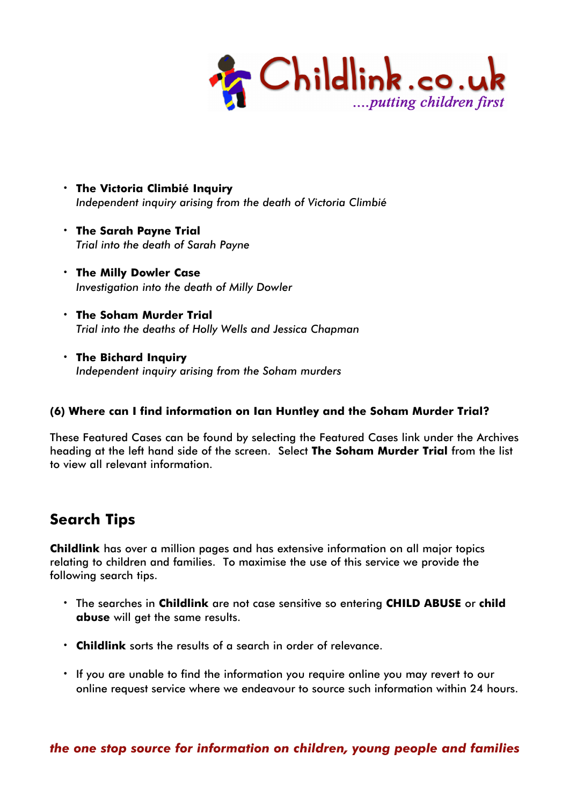

- **· The Victoria Climbié Inquiry** *Independent inquiry arising from the death of Victoria Climbié*
- **· The Sarah Payne Trial** *Trial into the death of Sarah Payne*
- **· The Milly Dowler Case** *Investigation into the death of Milly Dowler*
- **· The Soham Murder Trial** *Trial into the deaths of Holly Wells and Jessica Chapman*
- **· The Bichard Inquiry** *Independent inquiry arising from the Soham murders*

### **(6) Where can I find information on Ian Huntley and the Soham Murder Trial?**

These Featured Cases can be found by selecting the Featured Cases link under the Archives heading at the left hand side of the screen. Select **The Soham Murder Trial** from the list to view all relevant information.

# **Search Tips**

**Childlink** has over a million pages and has extensive information on all major topics relating to children and families. To maximise the use of this service we provide the following search tips.

- **·** The searches in **Childlink** are not case sensitive so entering **CHILD ABUSE** or **child abuse** will get the same results.
- **· Childlink** sorts the results of a search in order of relevance.
- **·** If you are unable to find the information you require online you may revert to our online request service where we endeavour to source such information within 24 hours.